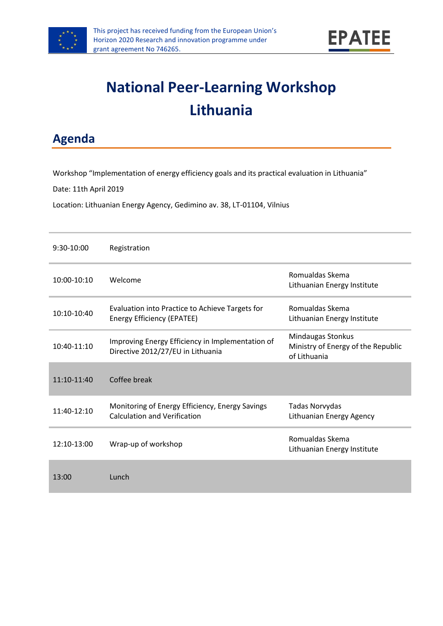

# **National Peer-Learning Workshop Lithuania**

**Agenda**

Workshop "Implementation of energy efficiency goals and its practical evaluation in Lithuania"

Date: 11th April 2019

Location: Lithuanian Energy Agency, Gedimino av. 38, LT-01104, Vilnius

| $9:30-10:00$  | Registration                                                                           |                                                                                |
|---------------|----------------------------------------------------------------------------------------|--------------------------------------------------------------------------------|
| 10:00-10:10   | Welcome                                                                                | Romualdas Skema<br>Lithuanian Energy Institute                                 |
| 10:10-10:40   | Evaluation into Practice to Achieve Targets for<br>Energy Efficiency (EPATEE)          | Romualdas Skema<br>Lithuanian Energy Institute                                 |
| 10:40-11:10   | Improving Energy Efficiency in Implementation of<br>Directive 2012/27/EU in Lithuania  | <b>Mindaugas Stonkus</b><br>Ministry of Energy of the Republic<br>of Lithuania |
| $11:10-11:40$ | Coffee break                                                                           |                                                                                |
| $11:40-12:10$ | Monitoring of Energy Efficiency, Energy Savings<br><b>Calculation and Verification</b> | Tadas Norvydas<br>Lithuanian Energy Agency                                     |
| 12:10-13:00   | Wrap-up of workshop                                                                    | Romualdas Skema<br>Lithuanian Energy Institute                                 |
| 13:00         | Lunch                                                                                  |                                                                                |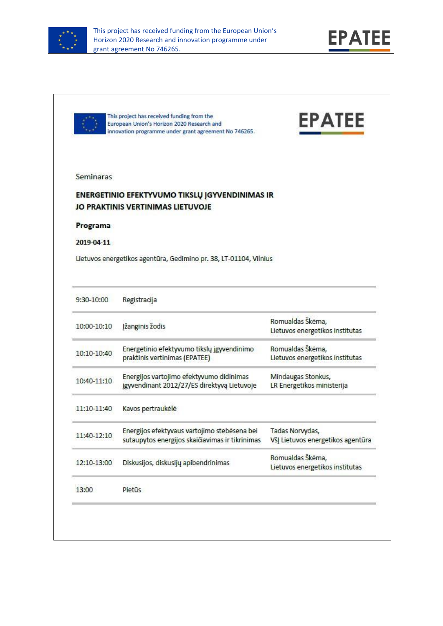



|             | This project has received funding from the<br>European Union's Horizon 2020 Research and<br>innovation programme under grant agreement No 746265. | <b>EPATEE</b>                                                        |
|-------------|---------------------------------------------------------------------------------------------------------------------------------------------------|----------------------------------------------------------------------|
| Seminaras   |                                                                                                                                                   |                                                                      |
|             |                                                                                                                                                   |                                                                      |
|             | ENERGETINIO EFEKTYVUMO TIKSLŲ JGYVENDINIMAS IR<br>JO PRAKTINIS VERTINIMAS LIETUVOJE                                                               |                                                                      |
| Programa    |                                                                                                                                                   |                                                                      |
| 2019-04-11  |                                                                                                                                                   |                                                                      |
|             | Lietuvos energetikos agentūra, Gedimino pr. 38, LT-01104, Vilnius                                                                                 |                                                                      |
|             |                                                                                                                                                   |                                                                      |
| 9:30-10:00  | Registracija                                                                                                                                      |                                                                      |
|             |                                                                                                                                                   |                                                                      |
|             |                                                                                                                                                   | Romualdas Škėma,                                                     |
| 10:00-10:10 | Jžanginis žodis                                                                                                                                   | Lietuvos energetikos institutas                                      |
|             | Energetinio efektyvumo tikslų įgyvendinimo                                                                                                        | Romualdas Škėma,                                                     |
| 10:10-10:40 | praktinis vertinimas (EPATEE)                                                                                                                     | Lietuvos energetikos institutas                                      |
|             | Energijos vartojimo efektyvumo didinimas                                                                                                          | Mindaugas Stonkus,                                                   |
| 10:40-11:10 | jgyvendinant 2012/27/ES direktyvą Lietuvoje                                                                                                       | LR Energetikos ministerija                                           |
| 11:10-11:40 | Kavos pertraukėlė                                                                                                                                 |                                                                      |
|             | Energijos efektyvaus vartojimo stebėsena bei                                                                                                      | Tadas Norvydas,                                                      |
| 11:40-12:10 | sutaupytos energijos skaičiavimas ir tikrinimas                                                                                                   |                                                                      |
|             |                                                                                                                                                   | Romualdas Škėma,                                                     |
| 12:10-13:00 | Diskusijos, diskusijų apibendrinimas                                                                                                              | Všį Lietuvos energetikos agentūra<br>Lietuvos energetikos institutas |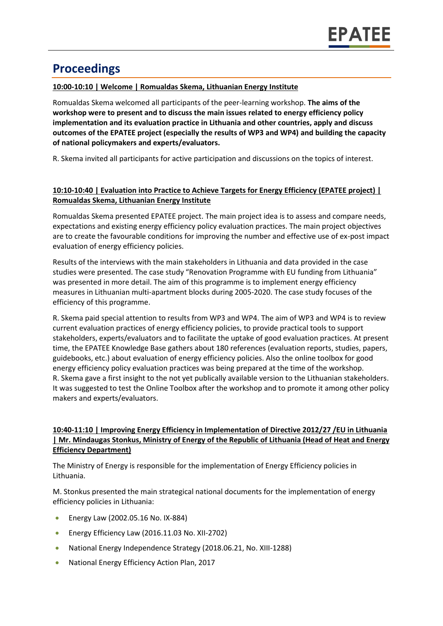## **Proceedings**

#### **10:00-10:10 | Welcome | Romualdas Skema, Lithuanian Energy Institute**

Romualdas Skema welcomed all participants of the peer-learning workshop. **The aims of the workshop were to present and to discuss the main issues related to energy efficiency policy implementation and its evaluation practice in Lithuania and other countries, apply and discuss outcomes of the EPATEE project (especially the results of WP3 and WP4) and building the capacity of national policymakers and experts/evaluators.**

R. Skema invited all participants for active participation and discussions on the topics of interest.

#### **10:10-10:40 | Evaluation into Practice to Achieve Targets for Energy Efficiency (EPATEE project) | Romualdas Skema, Lithuanian Energy Institute**

Romualdas Skema presented EPATEE project. The main project idea is to assess and compare needs, expectations and existing energy efficiency policy evaluation practices. The main project objectives are to create the favourable conditions for improving the number and effective use of ex-post impact evaluation of energy efficiency policies.

Results of the interviews with the main stakeholders in Lithuania and data provided in the case studies were presented. The case study "Renovation Programme with EU funding from Lithuania" was presented in more detail. The aim of this programme is to implement energy efficiency measures in Lithuanian multi-apartment blocks during 2005-2020. The case study focuses of the efficiency of this programme.

R. Skema paid special attention to results from WP3 and WP4. The aim of WP3 and WP4 is to review current evaluation practices of energy efficiency policies, to provide practical tools to support stakeholders, experts/evaluators and to facilitate the uptake of good evaluation practices. At present time, the EPATEE Knowledge Base gathers about 180 references (evaluation reports, studies, papers, guidebooks, etc.) about evaluation of energy efficiency policies. Also the online toolbox for good energy efficiency policy evaluation practices was being prepared at the time of the workshop. R. Skema gave a first insight to the not yet publically available version to the Lithuanian stakeholders. It was suggested to test the Online Toolbox after the workshop and to promote it among other policy makers and experts/evaluators.

#### **10:40-11:10 | Improving Energy Efficiency in Implementation of Directive 2012/27 /EU in Lithuania | Mr. Mindaugas Stonkus, Ministry of Energy of the Republic of Lithuania (Head of Heat and Energy Efficiency Department)**

The Ministry of Energy is responsible for the implementation of Energy Efficiency policies in Lithuania.

M. Stonkus presented the main strategical national documents for the implementation of energy efficiency policies in Lithuania:

- **Energy Law (2002.05.16 No. IX-884)**
- **Energy Efficiency Law (2016.11.03 No. XII-2702)**
- National Energy Independence Strategy (2018.06.21, No. XIII-1288)
- National Energy Efficiency Action Plan, 2017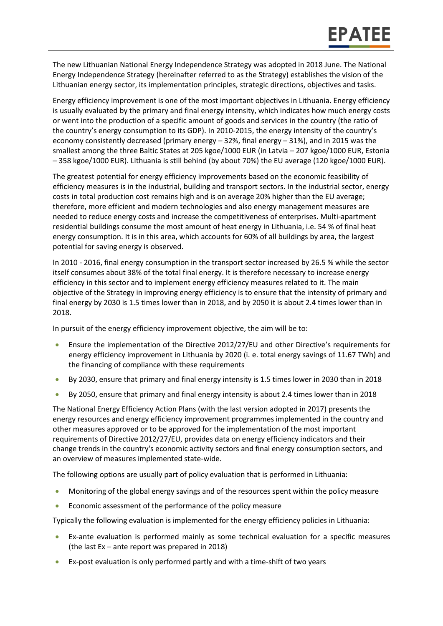The new Lithuanian National Energy Independence Strategy was adopted in 2018 June. The National Energy Independence Strategy (hereinafter referred to as the Strategy) establishes the vision of the Lithuanian energy sector, its implementation principles, strategic directions, objectives and tasks.

Energy efficiency improvement is one of the most important objectives in Lithuania. Energy efficiency is usually evaluated by the primary and final energy intensity, which indicates how much energy costs or went into the production of a specific amount of goods and services in the country (the ratio of the country's energy consumption to its GDP). In 2010-2015, the energy intensity of the country's economy consistently decreased (primary energy – 32%, final energy – 31%), and in 2015 was the smallest among the three Baltic States at 205 kgoe/1000 EUR (in Latvia – 207 kgoe/1000 EUR, Estonia – 358 kgoe/1000 EUR). Lithuania is still behind (by about 70%) the EU average (120 kgoe/1000 EUR).

The greatest potential for energy efficiency improvements based on the economic feasibility of efficiency measures is in the industrial, building and transport sectors. In the industrial sector, energy costs in total production cost remains high and is on average 20% higher than the EU average; therefore, more efficient and modern technologies and also energy management measures are needed to reduce energy costs and increase the competitiveness of enterprises. Multi-apartment residential buildings consume the most amount of heat energy in Lithuania, i.e. 54 % of final heat energy consumption. It is in this area, which accounts for 60% of all buildings by area, the largest potential for saving energy is observed.

In 2010 - 2016, final energy consumption in the transport sector increased by 26.5 % while the sector itself consumes about 38% of the total final energy. It is therefore necessary to increase energy efficiency in this sector and to implement energy efficiency measures related to it. The main objective of the Strategy in improving energy efficiency is to ensure that the intensity of primary and final energy by 2030 is 1.5 times lower than in 2018, and by 2050 it is about 2.4 times lower than in 2018.

In pursuit of the energy efficiency improvement objective, the aim will be to:

- Ensure the implementation of the Directive 2012/27/EU and other Directive's requirements for energy efficiency improvement in Lithuania by 2020 (i. e. total energy savings of 11.67 TWh) and the financing of compliance with these requirements
- By 2030, ensure that primary and final energy intensity is 1.5 times lower in 2030 than in 2018
- By 2050, ensure that primary and final energy intensity is about 2.4 times lower than in 2018

The National Energy Efficiency Action Plans (with the last version adopted in 2017) presents the energy resources and energy efficiency improvement programmes implemented in the country and other measures approved or to be approved for the implementation of the most important requirements of Directive 2012/27/EU, provides data on energy efficiency indicators and their change trends in the country's economic activity sectors and final energy consumption sectors, and an overview of measures implemented state-wide.

The following options are usually part of policy evaluation that is performed in Lithuania:

- Monitoring of the global energy savings and of the resources spent within the policy measure
- Economic assessment of the performance of the policy measure

Typically the following evaluation is implemented for the energy efficiency policies in Lithuania:

- Ex-ante evaluation is performed mainly as some technical evaluation for a specific measures (the last Ex – ante report was prepared in 2018)
- Ex-post evaluation is only performed partly and with a time-shift of two years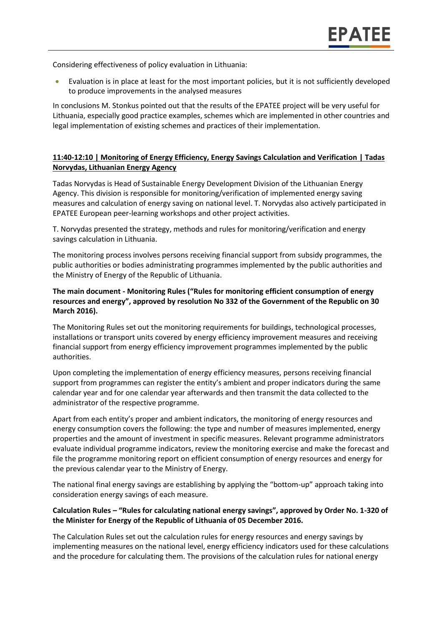Considering effectiveness of policy evaluation in Lithuania:

 Evaluation is in place at least for the most important policies, but it is not sufficiently developed to produce improvements in the analysed measures

In conclusions M. Stonkus pointed out that the results of the EPATEE project will be very useful for Lithuania, especially good practice examples, schemes which are implemented in other countries and legal implementation of existing schemes and practices of their implementation.

#### **11:40-12:10 | Monitoring of Energy Efficiency, Energy Savings Calculation and Verification | Tadas Norvydas, Lithuanian Energy Agency**

Tadas Norvydas is Head of Sustainable Energy Development Division of the Lithuanian Energy Agency. This division is responsible for monitoring/verification of implemented energy saving measures and calculation of energy saving on national level. T. Norvydas also actively participated in EPATEE European peer-learning workshops and other project activities.

T. Norvydas presented the strategy, methods and rules for monitoring/verification and energy savings calculation in Lithuania.

The monitoring process involves persons receiving financial support from subsidy programmes, the public authorities or bodies administrating programmes implemented by the public authorities and the Ministry of Energy of the Republic of Lithuania.

#### **The main document - Monitoring Rules ("Rules for monitoring efficient consumption of energy resources and energy", approved by resolution No 332 of the Government of the Republic on 30 March 2016).**

The Monitoring Rules set out the monitoring requirements for buildings, technological processes, installations or transport units covered by energy efficiency improvement measures and receiving financial support from energy efficiency improvement programmes implemented by the public authorities.

Upon completing the implementation of energy efficiency measures, persons receiving financial support from programmes can register the entity's ambient and proper indicators during the same calendar year and for one calendar year afterwards and then transmit the data collected to the administrator of the respective programme.

Apart from each entity's proper and ambient indicators, the monitoring of energy resources and energy consumption covers the following: the type and number of measures implemented, energy properties and the amount of investment in specific measures. Relevant programme administrators evaluate individual programme indicators, review the monitoring exercise and make the forecast and file the programme monitoring report on efficient consumption of energy resources and energy for the previous calendar year to the Ministry of Energy.

The national final energy savings are establishing by applying the "bottom-up" approach taking into consideration energy savings of each measure.

#### **Calculation Rules – "Rules for calculating national energy savings", approved by Order No. 1-320 of the Minister for Energy of the Republic of Lithuania of 05 December 2016.**

The Calculation Rules set out the calculation rules for energy resources and energy savings by implementing measures on the national level, energy efficiency indicators used for these calculations and the procedure for calculating them. The provisions of the calculation rules for national energy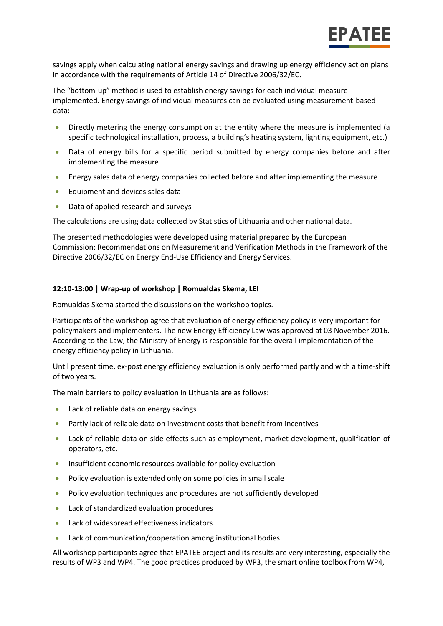savings apply when calculating national energy savings and drawing up energy efficiency action plans in accordance with the requirements of Article 14 of Directive 2006/32/EC.

The "bottom-up" method is used to establish energy savings for each individual measure implemented. Energy savings of individual measures can be evaluated using measurement-based data:

- Directly metering the energy consumption at the entity where the measure is implemented (a specific technological installation, process, a building's heating system, lighting equipment, etc.)
- Data of energy bills for a specific period submitted by energy companies before and after implementing the measure
- Energy sales data of energy companies collected before and after implementing the measure
- **Equipment and devices sales data**
- Data of applied research and surveys

The calculations are using data collected by Statistics of Lithuania and other national data.

The presented methodologies were developed using material prepared by the European Commission: Recommendations on Measurement and Verification Methods in the Framework of the Directive 2006/32/EC on Energy End-Use Efficiency and Energy Services.

#### **12:10-13:00 | Wrap-up of workshop | Romualdas Skema, LEI**

Romualdas Skema started the discussions on the workshop topics.

Participants of the workshop agree that evaluation of energy efficiency policy is very important for policymakers and implementers. The new Energy Efficiency Law was approved at 03 November 2016. According to the Law, the Ministry of Energy is responsible for the overall implementation of the energy efficiency policy in Lithuania.

Until present time, ex-post energy efficiency evaluation is only performed partly and with a time-shift of two years.

The main barriers to policy evaluation in Lithuania are as follows:

- Lack of reliable data on energy savings
- Partly lack of reliable data on investment costs that benefit from incentives
- Lack of reliable data on side effects such as employment, market development, qualification of operators, etc.
- Insufficient economic resources available for policy evaluation
- Policy evaluation is extended only on some policies in small scale
- Policy evaluation techniques and procedures are not sufficiently developed
- Lack of standardized evaluation procedures
- Lack of widespread effectiveness indicators
- Lack of communication/cooperation among institutional bodies

All workshop participants agree that EPATEE project and its results are very interesting, especially the results of WP3 and WP4. The good practices produced by WP3, the smart online toolbox from WP4,